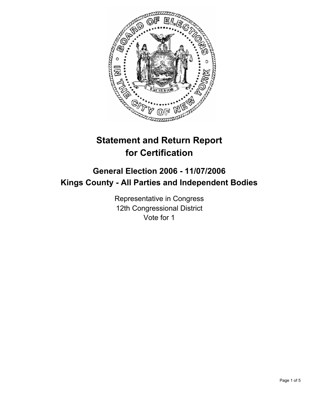

# **Statement and Return Report for Certification**

# **General Election 2006 - 11/07/2006 Kings County - All Parties and Independent Bodies**

Representative in Congress 12th Congressional District Vote for 1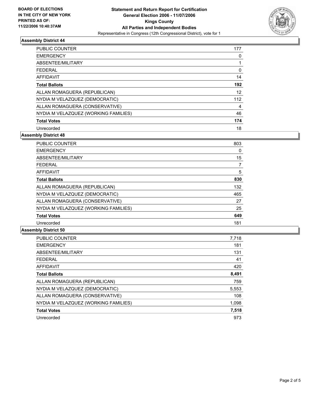

# **Assembly District 44**

| PUBLIC COUNTER                       | 177 |
|--------------------------------------|-----|
| <b>EMERGENCY</b>                     |     |
| ABSENTEE/MILITARY                    |     |
| <b>FEDERAL</b>                       | υ   |
| AFFIDAVIT                            | 14  |
| <b>Total Ballots</b>                 | 192 |
| ALLAN ROMAGUERA (REPUBLICAN)         | 12  |
| NYDIA M VELAZQUEZ (DEMOCRATIC)       | 112 |
| ALLAN ROMAGUERA (CONSERVATIVE)       | 4   |
| NYDIA M VELAZQUEZ (WORKING FAMILIES) | 46  |
| <b>Total Votes</b>                   | 174 |
| Unrecorded                           | 18  |

**Assembly District 48**

| PUBLIC COUNTER                       | 803 |  |
|--------------------------------------|-----|--|
| <b>EMERGENCY</b>                     | 0   |  |
| ABSENTEE/MILITARY                    | 15  |  |
| <b>FEDERAL</b>                       |     |  |
| <b>AFFIDAVIT</b>                     | 5   |  |
| <b>Total Ballots</b>                 | 830 |  |
| ALLAN ROMAGUERA (REPUBLICAN)         | 132 |  |
| NYDIA M VELAZQUEZ (DEMOCRATIC)       | 465 |  |
| ALLAN ROMAGUERA (CONSERVATIVE)       | 27  |  |
| NYDIA M VELAZQUEZ (WORKING FAMILIES) | 25  |  |
| <b>Total Votes</b>                   | 649 |  |
| Unrecorded                           | 181 |  |

### **Assembly District 50**

| <b>PUBLIC COUNTER</b>                | 7,718 |
|--------------------------------------|-------|
| <b>EMERGENCY</b>                     | 181   |
| ABSENTEE/MILITARY                    | 131   |
| <b>FEDERAL</b>                       | 41    |
| <b>AFFIDAVIT</b>                     | 420   |
| <b>Total Ballots</b>                 | 8,491 |
| ALLAN ROMAGUERA (REPUBLICAN)         | 759   |
| NYDIA M VELAZQUEZ (DEMOCRATIC)       | 5,553 |
| ALLAN ROMAGUERA (CONSERVATIVE)       | 108   |
| NYDIA M VELAZQUEZ (WORKING FAMILIES) | 1,098 |
| <b>Total Votes</b>                   | 7,518 |
| Unrecorded                           | 973   |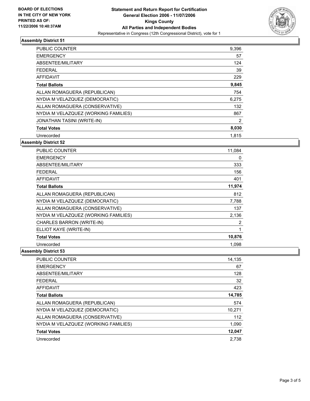

# **Assembly District 51**

| <b>PUBLIC COUNTER</b>                | 9.396 |
|--------------------------------------|-------|
| <b>EMERGENCY</b>                     | 57    |
| ABSENTEE/MILITARY                    | 124   |
| <b>FEDERAL</b>                       | 39    |
| <b>AFFIDAVIT</b>                     | 229   |
| <b>Total Ballots</b>                 | 9,845 |
| ALLAN ROMAGUERA (REPUBLICAN)         | 754   |
| NYDIA M VELAZQUEZ (DEMOCRATIC)       | 6,275 |
| ALLAN ROMAGUERA (CONSERVATIVE)       | 132   |
| NYDIA M VELAZQUEZ (WORKING FAMILIES) | 867   |
| <b>JONATHAN TASINI (WRITE-IN)</b>    | 2     |
| <b>Total Votes</b>                   | 8,030 |
| Unrecorded                           | 1,815 |

# **Assembly District 52**

| <b>PUBLIC COUNTER</b>                | 11,084 |
|--------------------------------------|--------|
| <b>EMERGENCY</b>                     | 0      |
| ABSENTEE/MILITARY                    | 333    |
| FEDERAL                              | 156    |
| <b>AFFIDAVIT</b>                     | 401    |
| <b>Total Ballots</b>                 | 11,974 |
| ALLAN ROMAGUERA (REPUBLICAN)         | 812    |
| NYDIA M VELAZQUEZ (DEMOCRATIC)       | 7,788  |
| ALLAN ROMAGUERA (CONSERVATIVE)       | 137    |
| NYDIA M VELAZQUEZ (WORKING FAMILIES) | 2,136  |
| CHARLES BARRON (WRITE-IN)            | 2      |
| ELLIOT KAYE (WRITE-IN)               |        |
| <b>Total Votes</b>                   | 10,876 |
| Unrecorded                           | 1.098  |

### **Assembly District 53**

| PUBLIC COUNTER                       | 14,135 |
|--------------------------------------|--------|
| <b>EMERGENCY</b>                     | 67     |
| ABSENTEE/MILITARY                    | 128    |
| <b>FEDERAL</b>                       | 32     |
| <b>AFFIDAVIT</b>                     | 423    |
| <b>Total Ballots</b>                 | 14,785 |
| ALLAN ROMAGUERA (REPUBLICAN)         | 574    |
| NYDIA M VELAZQUEZ (DEMOCRATIC)       | 10,271 |
| ALLAN ROMAGUERA (CONSERVATIVE)       | 112    |
| NYDIA M VELAZQUEZ (WORKING FAMILIES) | 1,090  |
| <b>Total Votes</b>                   | 12,047 |
| Unrecorded                           | 2.738  |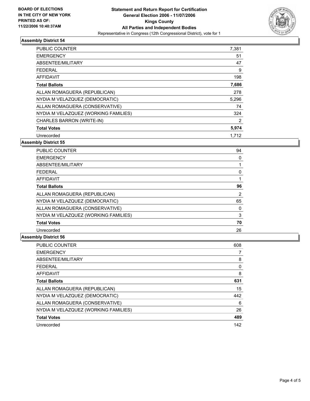

# **Assembly District 54**

| <b>PUBLIC COUNTER</b>                | 7,381 |  |
|--------------------------------------|-------|--|
| <b>EMERGENCY</b>                     | 51    |  |
| ABSENTEE/MILITARY                    | 47    |  |
| <b>FEDERAL</b>                       | 9     |  |
| <b>AFFIDAVIT</b>                     | 198   |  |
| <b>Total Ballots</b>                 | 7,686 |  |
| ALLAN ROMAGUERA (REPUBLICAN)         | 278   |  |
| NYDIA M VELAZQUEZ (DEMOCRATIC)       | 5,296 |  |
| ALLAN ROMAGUERA (CONSERVATIVE)       | 74    |  |
| NYDIA M VELAZQUEZ (WORKING FAMILIES) | 324   |  |
| CHARLES BARRON (WRITE-IN)            | 2     |  |
| <b>Total Votes</b>                   | 5,974 |  |
| Unrecorded                           | 1.712 |  |

# **Assembly District 55**

| PUBLIC COUNTER                       | 94 |  |
|--------------------------------------|----|--|
| <b>EMERGENCY</b>                     |    |  |
| ABSENTEE/MILITARY                    |    |  |
| <b>FEDERAL</b>                       |    |  |
| AFFIDAVIT                            |    |  |
| <b>Total Ballots</b>                 | 96 |  |
| ALLAN ROMAGUERA (REPUBLICAN)         | 2  |  |
| NYDIA M VELAZQUEZ (DEMOCRATIC)       | 65 |  |
| ALLAN ROMAGUERA (CONSERVATIVE)       | 0  |  |
| NYDIA M VELAZQUEZ (WORKING FAMILIES) | 3  |  |
| <b>Total Votes</b>                   | 70 |  |
| Unrecorded                           | 26 |  |

# **Assembly District 56**

| <b>PUBLIC COUNTER</b>                | 608 |
|--------------------------------------|-----|
| <b>EMERGENCY</b>                     |     |
| ABSENTEE/MILITARY                    | 8   |
| <b>FEDERAL</b>                       | 0   |
| <b>AFFIDAVIT</b>                     | 8   |
| <b>Total Ballots</b>                 | 631 |
| ALLAN ROMAGUERA (REPUBLICAN)         | 15  |
| NYDIA M VELAZQUEZ (DEMOCRATIC)       | 442 |
| ALLAN ROMAGUERA (CONSERVATIVE)       | 6   |
| NYDIA M VELAZQUEZ (WORKING FAMILIES) | 26  |
| <b>Total Votes</b>                   | 489 |
| Unrecorded                           | 142 |